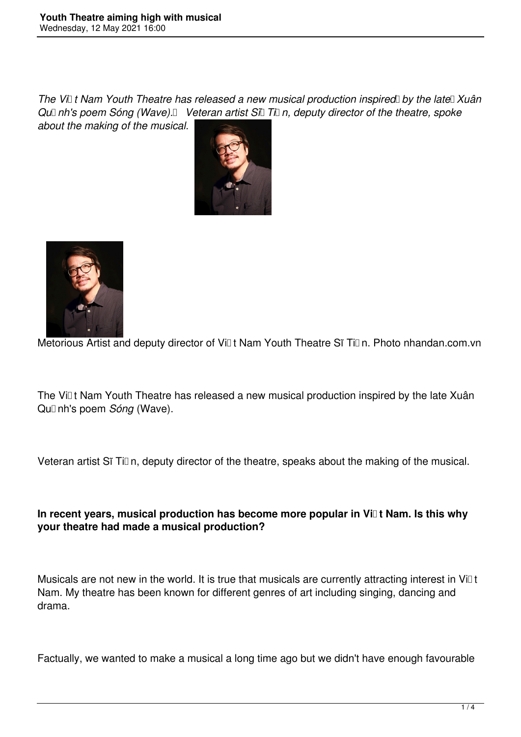*The Vi*<sub>LI</sub> t Nam Youth Theatre has released a new musical production inspired by the late Xuân Qu<sup>n</sup> nh's poem Sóng (Wave). Veteran artist Sĩ Tì n, deputy director of the theatre, spoke *about the making of the musical.* 





Metorious Artist and deputy director of Vill t Nam Youth Theatre Sĩ Till n. Photo nhandan.com.vn

The Viet Nam Youth Theatre has released a new musical production inspired by the late Xuân Qu<sub>II</sub> nh's poem *Sóng* (Wave).

Veteran artist Sĩ Tiūn, deputy director of the theatre, speaks about the making of the musical.

# **In recent years, musical production has become more popular in Việt Nam. Is this why your theatre had made a musical production?**

Musicals are not new in the world. It is true that musicals are currently attracting interest in Vi $\mathbb{I}$ t Nam. My theatre has been known for different genres of art including singing, dancing and drama.

Factually, we wanted to make a musical a long time ago but we didn't have enough favourable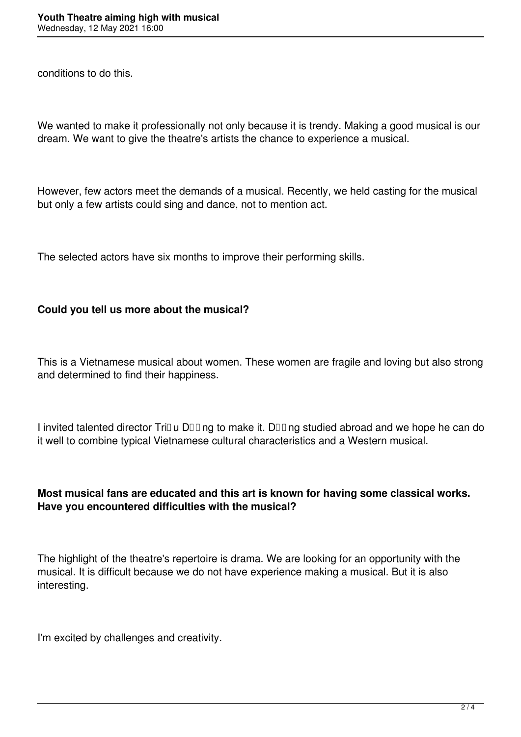conditions to do this.

We wanted to make it professionally not only because it is trendy. Making a good musical is our dream. We want to give the theatre's artists the chance to experience a musical.

However, few actors meet the demands of a musical. Recently, we held casting for the musical but only a few artists could sing and dance, not to mention act.

The selected actors have six months to improve their performing skills.

## **Could you tell us more about the musical?**

This is a Vietnamese musical about women. These women are fragile and loving but also strong and determined to find their happiness.

I invited talented director TriDu DDD ng to make it. DDD ng studied abroad and we hope he can do it well to combine typical Vietnamese cultural characteristics and a Western musical.

## **Most musical fans are educated and this art is known for having some classical works. Have you encountered difficulties with the musical?**

The highlight of the theatre's repertoire is drama. We are looking for an opportunity with the musical. It is difficult because we do not have experience making a musical. But it is also interesting.

I'm excited by challenges and creativity.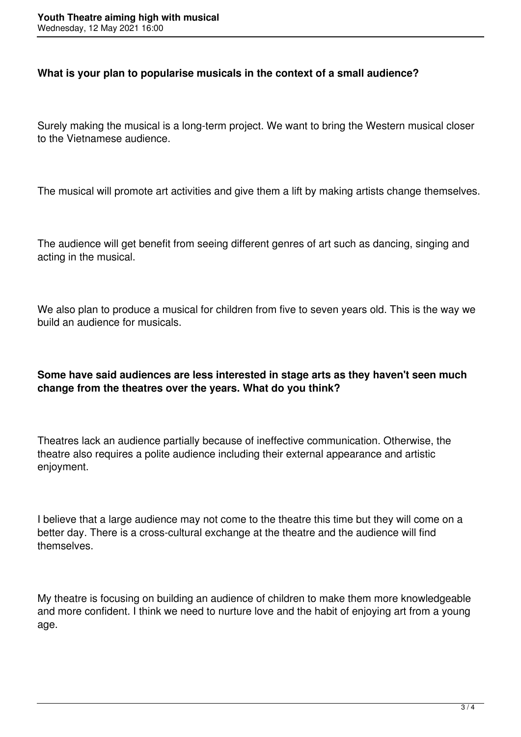### **What is your plan to popularise musicals in the context of a small audience?**

Surely making the musical is a long-term project. We want to bring the Western musical closer to the Vietnamese audience.

The musical will promote art activities and give them a lift by making artists change themselves.

The audience will get benefit from seeing different genres of art such as dancing, singing and acting in the musical.

We also plan to produce a musical for children from five to seven years old. This is the way we build an audience for musicals.

## **Some have said audiences are less interested in stage arts as they haven't seen much change from the theatres over the years. What do you think?**

Theatres lack an audience partially because of ineffective communication. Otherwise, the theatre also requires a polite audience including their external appearance and artistic enjoyment.

I believe that a large audience may not come to the theatre this time but they will come on a better day. There is a cross-cultural exchange at the theatre and the audience will find themselves.

My theatre is focusing on building an audience of children to make them more knowledgeable and more confident. I think we need to nurture love and the habit of enjoying art from a young age.